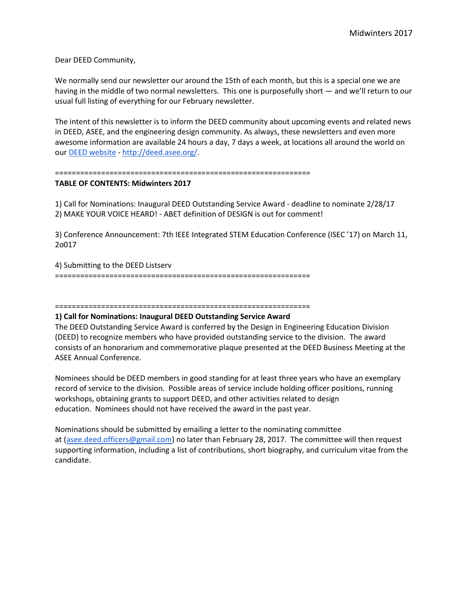Dear DEED Community,

We normally send our newsletter our around the 15th of each month, but this is a special one we are having in the middle of two normal newsletters. This one is purposefully short — and we'll return to our usual full listing of everything for our February newsletter.

The intent of this newsletter is to inform the DEED community about upcoming events and related news in DEED, ASEE, and the engineering design community. As always, these newsletters and even more awesome information are available 24 hours a day, 7 days a week, at locations all around the world on our [DEED website](http://deed.asee.org/) - [http://deed.asee.org/.](http://deed.asee.org/)

#### =============================================================

#### **TABLE OF CONTENTS: Midwinters 2017**

1) Call for Nominations: Inaugural DEED Outstanding Service Award - deadline to nominate 2/28/17 2) MAKE YOUR VOICE HEARD! - ABET definition of DESIGN is out for comment!

3) Conference Announcement: 7th IEEE Integrated STEM Education Conference (ISEC '17) on March 11, 2o017

4) Submitting to the DEED Listserv =============================================================

# =============================================================

### **1) Call for Nominations: Inaugural DEED Outstanding Service Award**

The DEED Outstanding Service Award is conferred by the Design in Engineering Education Division (DEED) to recognize members who have provided outstanding service to the division. The award consists of an honorarium and commemorative plaque presented at the DEED Business Meeting at the ASEE Annual Conference.

Nominees should be DEED members in good standing for at least three years who have an exemplary record of service to the division. Possible areas of service include holding officer positions, running workshops, obtaining grants to support DEED, and other activities related to design education. Nominees should not have received the award in the past year.

Nominations should be submitted by emailing a letter to the nominating committee at [\(asee.deed.officers@gmail.com\)](mailto:asee.deed.officers@gmail.com) no later than February 28, 2017. The committee will then request supporting information, including a list of contributions, short biography, and curriculum vitae from the candidate.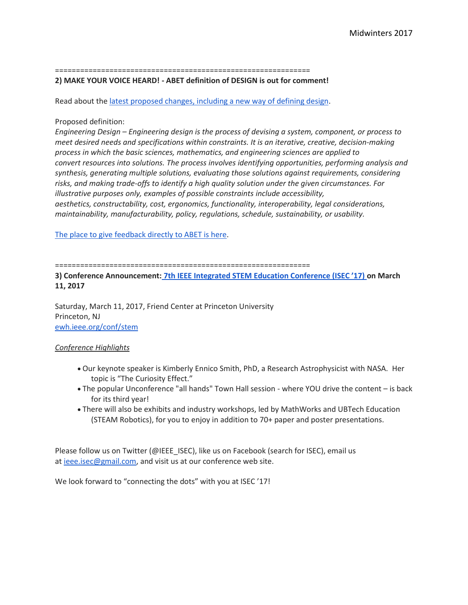=============================================================

## **2) MAKE YOUR VOICE HEARD! - ABET definition of DESIGN is out for comment!**

Read about the [latest proposed changes, including a new way of defining design.](http://www.abet.org/blog/news/proposed-eac-criteria-changes-released-for-public-review-and-comment/)

# Proposed definition:

*Engineering Design – Engineering design is the process of devising a system, component, or process to meet desired needs and specifications within constraints. It is an iterative, creative, decision-making process in which the basic sciences, mathematics, and engineering sciences are applied to convert resources into solutions. The process involves identifying opportunities, performing analysis and synthesis, generating multiple solutions, evaluating those solutions against requirements, considering risks, and making trade-offs to identify a high quality solution under the given circumstances. For illustrative purposes only, examples of possible constraints include accessibility, aesthetics, constructability, cost, ergonomics, functionality, interoperability, legal considerations, maintainability, manufacturability, policy, regulations, schedule, sustainability, or usability.*

[The place to give feedback directly to ABET is here.](https://www.surveymonkey.com/r/FN6GW2D)

=============================================================

**3) Conference Announcement: [7th IEEE Integrated STEM Education Conference \(ISEC '17\)](http://ewh.ieee.org/conf/stem) on March 11, 2017**

Saturday, March 11, 2017, Friend Center at Princeton University Princeton, NJ [ewh.ieee.org/conf/stem](http://ewh.ieee.org/conf/stem)

# *Conference Highlights*

- Our keynote speaker is Kimberly Ennico Smith, PhD, a Research Astrophysicist with NASA. Her topic is "The Curiosity Effect."
- The popular Unconference "all hands" Town Hall session where YOU drive the content is back for its third year!
- There will also be exhibits and industry workshops, led by MathWorks and UBTech Education (STEAM Robotics), for you to enjoy in addition to 70+ paper and poster presentations.

Please follow us on Twitter (@IEEE\_ISEC), like us on Facebook (search for ISEC), email us at [ieee.isec@gmail.com,](mailto:ieee.isec@gmail.com) and visit us at our conference web site.

We look forward to "connecting the dots" with you at ISEC '17!